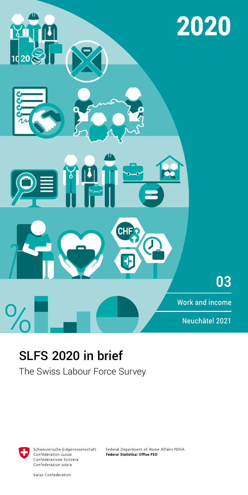

# SLFS 2020 in brief

The Swiss Labour Force Survey



Schweizerische Eidgenossenschaft Confédération suisse Confederazione Svizzera Confederaziun svizra

Federal Department of Home Affairs FDHA **Federal Statistical Office FSO** 

Swiss Confederation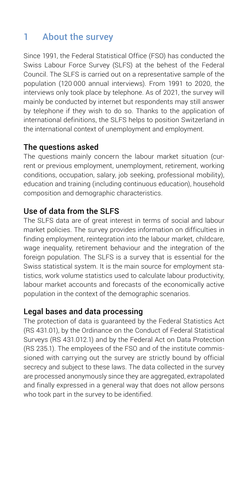# 1 About the survey

Since 1991, the Federal Statistical Office (FSO) has conducted the Swiss Labour Force Survey (SLFS) at the behest of the Federal Council. The SLFS is carried out on a representative sample of the population (120 000 annual interviews). From 1991 to 2020, the interviews only took place by telephone. As of 2021, the survey will mainly be conducted by internet but respondents may still answer by telephone if they wish to do so. Thanks to the application of international definitions, the SLFS helps to position Switzerland in the international context of unemployment and employment.

## The questions asked

The questions mainly concern the labour market situation (current or previous employment, unemployment, retirement, working conditions, occupation, salary, job seeking, professional mobility), education and training (including continuous education), household composition and demographic characteristics.

## Use of data from the SLFS

The SLFS data are of great interest in terms of social and labour market policies. The survey provides information on difficulties in finding employment, reintegration into the labour market, childcare, wage inequality, retirement behaviour and the integration of the foreign population. The SLFS is a survey that is essential for the Swiss statistical system. It is the main source for employment statistics, work volume statistics used to calculate labour productivity, labour market accounts and forecasts of the economically active population in the context of the demographic scenarios.

## Legal bases and data processing

The protection of data is guaranteed by the Federal Statistics Act (RS 431.01), by the Ordinance on the Conduct of Federal Statistical Surveys (RS 431.012.1) and by the Federal Act on Data Protection (RS 235.1). The employees of the FSO and of the institute commissioned with carrying out the survey are strictly bound by official secrecy and subject to these laws. The data collected in the survey are processed anonymously since they are aggregated, extrapolated and finally expressed in a general way that does not allow persons who took part in the survey to be identified.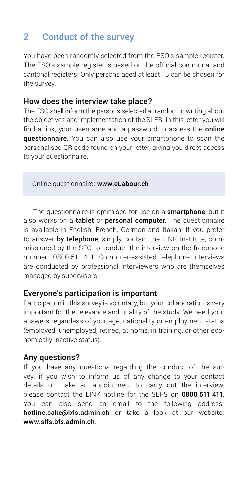# 2 Conduct of the survey

You have been randomly selected from the FSO's sample register. The FSO's sample register is based on the official communal and cantonal registers. Only persons aged at least 15 can be chosen for the survey.

### How does the interview take place?

The FSO shall inform the persons selected at random in writing about the objectives and implementation of the SLFS. In this letter you will find a link, your username and a password to access the **online** questionnaire. You can also use your smartphone to scan the personalised QR code found on your letter, giving you direct access to your questionnaire.

Online questionnaire: [www.eLabour.ch](http://www.eLabour.ch)

The questionnaire is optimised for use on a **smartphone**, but it also works on a tablet or personal computer. The questionnaire is available in English, French, German and Italian. If you prefer to answer by telephone, simply contact the LINK Institute, commissioned by the SFO to conduct the interview on the freephone number: 0800 511 411. Computer-assisted telephone interviews are conducted by professional interviewers who are themselves managed by supervisors.

### Everyone's participation is important

Participation in this survey is voluntary, but your collaboration is very important for the relevance and quality of the study. We need your answers regardless of your age, nationality or employment status (employed, unemployed, retired, at home, in training, or other economically inactive status).

### Any questions?

If you have any questions regarding the conduct of the survey, if you wish to inform us of any change to your contact details or make an appointment to carry out the interview, please contact the LINK hotline for the SLFS on 0800 511 411. You can also send an email to the following address: hotline.sake@bfs.admin.ch or take a look at our website: www.slfs.bfs.admin.ch.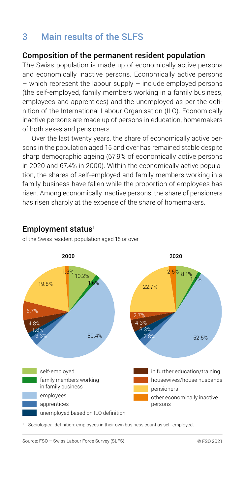# 3 Main results of the SLFS

### Composition of the permanent resident population

The Swiss population is made up of economically active persons and economically inactive persons. Economically active persons  $-$  which represent the labour supply  $-$  include employed persons (the self-employed, family members working in a family business, employees and apprentices) and the unemployed as per the definition of the International Labour Organisation (ILO). Economically inactive persons are made up of persons in education, homemakers of both sexes and pensioners.

Over the last twenty years, the share of economically active persons in the population aged 15 and over has remained stable despite sharp demographic ageing (67.9% of economically active persons in 2020 and 67.4% in 2000). Within the economically active population, the shares of self-employed and family members working in a family business have fallen while the proportion of employees has risen. Among economically inactive persons, the share of pensioners has risen sharply at the expense of the share of homemakers.



## Employment status<sup>1</sup>

of the Swiss resident population aged 15 or over

<sup>1</sup> Sociological definition: employees in their own business count as self-employed.

Source: FSO – Swiss Labour Force Survey (SLFS) © FSO 2021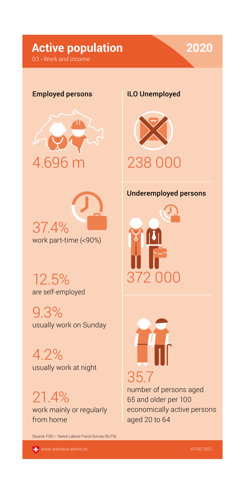# **Active population 2020**

### 03 - Work and income

### Employed persons





12.5% are self-employed

9.3% usually work on Sunday

4.2% usually work at night

21.4% work mainly or regularly from home

Source: FSO – Swiss Labour Force Survey (SLFS)

[www.statistics.admin.ch](http://www.statistics.admin.ch)

### ILO Unemployed



### Underemployed persons





number of persons aged 65 and older per 100 economically active persons aged 20 to 64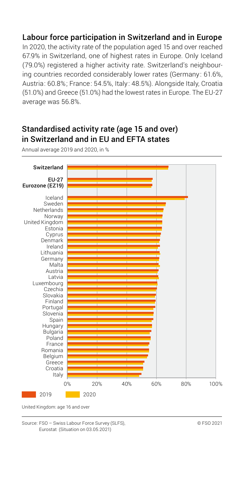# Labour force participation in Switzerland and in Europe

In 2020, the activity rate of the population aged 15 and over reached 67.9% in Switzerland, one of highest rates in Europe. Only Iceland (79.0%) registered a higher activity rate. Switzerland's neighbouring countries recorded considerably lower rates (Germany : 61.6%, Austria: 60.8%; France: 54.5%, Italy : 48.5%). Alongside Italy, Croatia (51.0%) and Greece (51.0%) had the lowest rates in Europe. The EU-27 average was 56.8%.

# Standardised activity rate (age 15 and over) in Switzerland and in EU and EFTA states

0% 20% 40% 60% 80% 100% Switzerland EU-27 Eurozone (EZ19) Iceland Sweden Netherlands Norway United Kingdom Estonia Cyprus Denmark Ireland Lithuania Germany Malta Austria Latvia Luxembourg Czechia Slovakia Finland Portugal Slovenia Spain Hungary Bulgaria Poland France Romania Belgium Greece Croatia Italy 2019 2020

Annual average 2019 and 2020, in %

United Kingdom: age 16 and over

Source: FSO – Swiss Labour Force Survey (SLFS), Eurostat (Situation on 03.05.2021)

© FSO 2021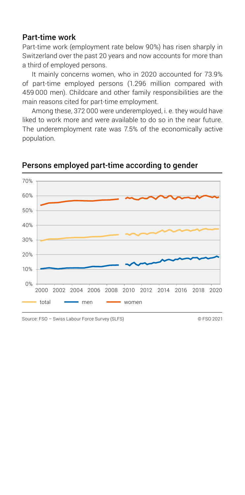### Part-time work

Part-time work (employment rate below 90%) has risen sharply in Switzerland over the past 20 years and now accounts for more than a third of employed persons.

It mainly concerns women, who in 2020 accounted for 73.9% of part-time employed persons (1.296 million compared with 459 000 men). Childcare and other family responsibilities are the main reasons cited for part-time employment.

Among these, 372 000 were underemployed, i. e. they would have liked to work more and were available to do so in the near future. The underemployment rate was 7.5% of the economically active population.



Persons employed part-time according to gender

Source: FSO – Swiss Labour Force Survey (SLFS) © FSO 2021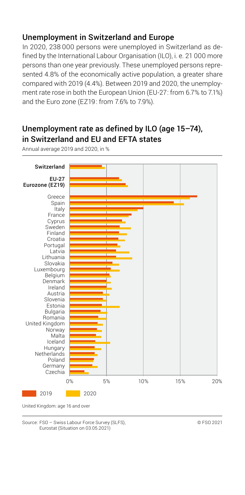# Unemployment in Switzerland and Europe

In 2020, 238 000 persons were unemployed in Switzerland as defined by the International Labour Organisation (ILO), i. e. 21 000 more persons than one year previously. These unemployed persons represented 4.8% of the economically active population, a greater share compared with 2019 (4.4%). Between 2019 and 2020, the unemployment rate rose in both the European Union (EU-27: from 6.7% to 7.1%) and the Euro zone (EZ19: from 7.6% to 7.9%).

# Unemployment rate as defined by ILO (age 15–74), in Switzerland and EU and EFTA states

Annual average 2019 and 2020, in %



United Kingdom: age 16 and over

Source: FSO – Swiss Labour Force Survey (SLFS), Eurostat (Situation on 03.05.2021)

© FSO 2021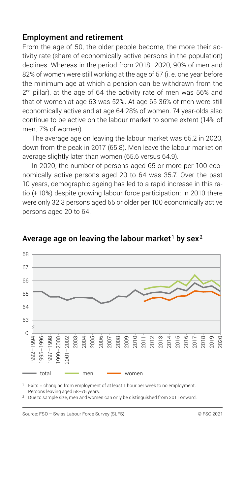### Employment and retirement

From the age of 50, the older people become, the more their activity rate (share of economically active persons in the population) declines. Whereas in the period from 2018–2020, 90% of men and 82% of women were still working at the age of 57 (i. e. one year before the minimum age at which a pension can be withdrawn from the  $2<sup>nd</sup>$  pillar), at the age of  $64$  the activity rate of men was  $56%$  and that of women at age 63 was 52%. At age 65 36% of men were still economically active and at age 64 28% of women. 74 year-olds also continue to be active on the labour market to some extent (14% of men; 7% of women).

The average age on leaving the labour market was 65.2 in 2020, down from the peak in 2017 (65.8). Men leave the labour market on average slightly later than women (65.6 versus 64.9).

In 2020, the number of persons aged 65 or more per 100 economically active persons aged 20 to 64 was 35.7. Over the past 10 years, demographic ageing has led to a rapid increase in this ratio (+ 10%) despite growing labour force participation: in 2010 there were only 32.3 persons aged 65 or older per 100 economically active persons aged 20 to 64.



Average age on leaving the labour market  $^{\rm 1}$  by sex  $^{\rm 2}$ 

Exits = changing from employment of at least 1 hour per week to no employment. Persons leaving aged 58–75 years.

<sup>2</sup> Due to sample size, men and women can only be distinguished from 2011 onward.

Source: FSO – Swiss Labour Force Survey (SLFS) © FSO 2021